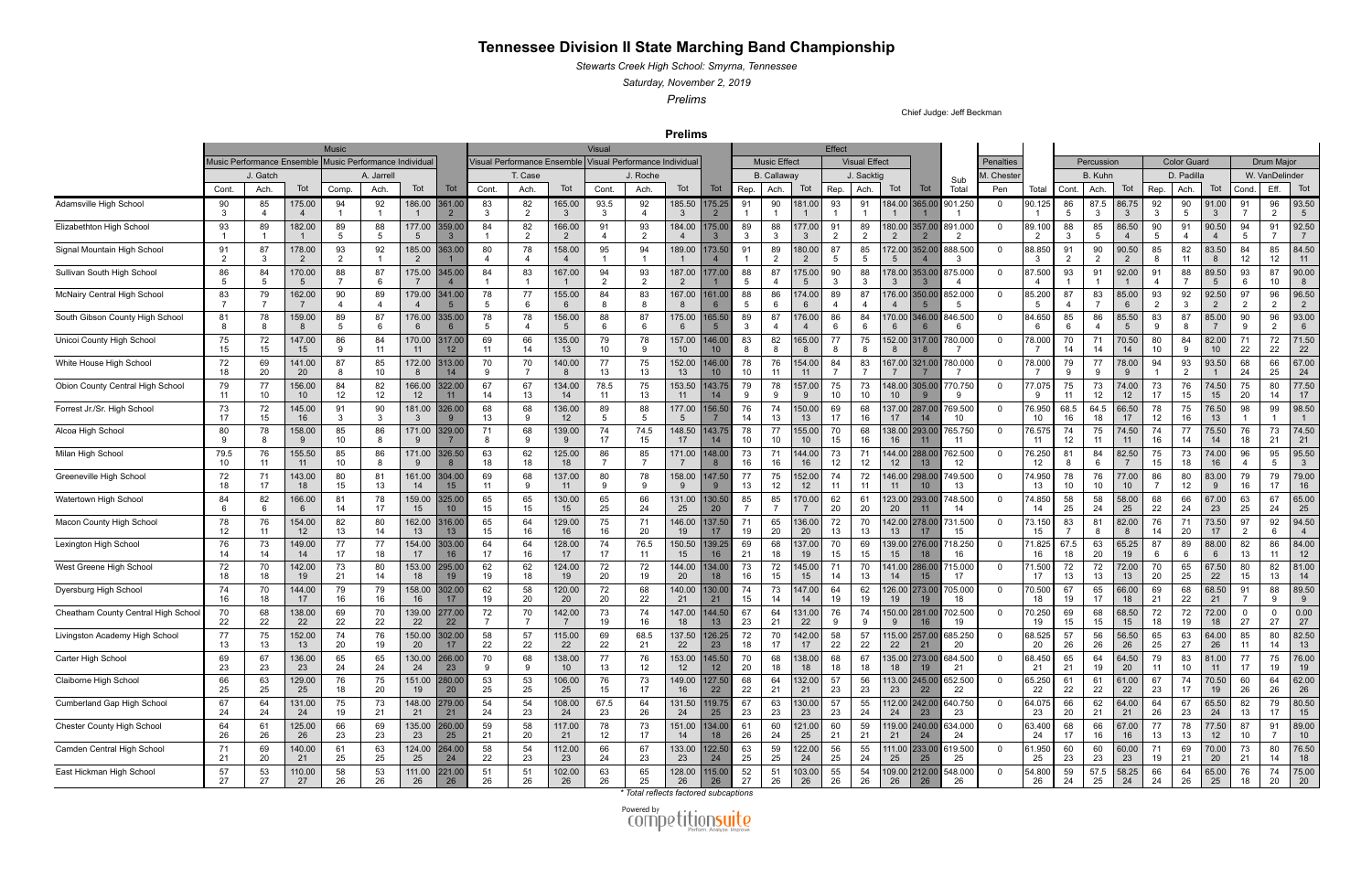## **Tennessee Division II State Marching Band Championship**

*Stewarts Creek High School: Smyrna, Tennessee*

*Saturday, November 2, 2019*

*Prelims*

Chief Judge: Jeff Beckman

**Prelims**

|                                     |                                                            |          |              | <b>Music</b> |                      |                           |                           | Visual             |                                                            |                           |                      |                |                                       |                          |                     |                                         |                           | Effect               |                       |                                           |                      |             |                          |                      |                      |                         |                      |                       |                |                      |                      |                          |
|-------------------------------------|------------------------------------------------------------|----------|--------------|--------------|----------------------|---------------------------|---------------------------|--------------------|------------------------------------------------------------|---------------------------|----------------------|----------------|---------------------------------------|--------------------------|---------------------|-----------------------------------------|---------------------------|----------------------|-----------------------|-------------------------------------------|----------------------|-------------|--------------------------|----------------------|----------------------|-------------------------|----------------------|-----------------------|----------------|----------------------|----------------------|--------------------------|
|                                     | Music Performance Individual<br>Music Performance Ensemble |          |              |              |                      |                           |                           |                    | Visual Performance Ensemble   Visual Performance Individua |                           |                      |                |                                       |                          | <b>Music Effect</b> |                                         |                           |                      | <b>Visual Effect</b>  |                                           |                      | Penalties   |                          | Percussion           |                      |                         |                      | <b>Color Guard</b>    |                | <b>Drum Major</b>    |                      |                          |
|                                     | J. Gatch                                                   |          |              | A. Jarrell   |                      |                           | T. Case                   |                    |                                                            |                           | J. Roche             |                |                                       |                          | B. Callaway         |                                         |                           | J. Sacktio           |                       | Sub                                       | M. Cheste            |             |                          | B. Kuhn              |                      |                         | D. Padilla           |                       | W. VanDelinder |                      |                      |                          |
|                                     | Cont                                                       | Ach.     | Tot          | Comp.        | Ach.                 | Tot                       | Tot                       | Cont.              | Ach.                                                       | Tot                       | Cont.                | Ach.           | Tot                                   | Tot                      | Rep.                | Ach.                                    | Tot                       | Rep.                 | Ach.                  | Tot<br>Tot                                | Total                | Pen         | Total                    | Cont                 | Ach                  | Tot                     | Rep.                 | Ach.                  | Tot            | Cond.                | Eff.                 | Tot                      |
| Adamsville High School              | 90<br>3                                                    | 85       | 175.00       | 94           | 92                   | 186.00<br>$\overline{1}$  | 361.00<br>$\overline{2}$  | 83<br>$\mathbf{3}$ | 82<br>$\overline{2}$                                       | 165.00<br>-3              | 93.5<br>-3           | 92             | 185.50<br>-3                          | 75.25                    | 91                  | 90                                      | 181.00                    | 93                   | 91                    | 184.00 365.00                             | 901.250              | $\mathbf 0$ | 90.125                   | 86<br>5              | 87.5<br>-3           | 86.75<br>3              | 92<br>3              | 90<br>5               | 91.00<br>-3    | 91                   | 96<br>$\overline{2}$ | 93.50<br>$5\overline{)}$ |
| Elizabethton High School            | 93                                                         | 89       | 182.00       | 89           | 88<br>-5             | 177.00<br>-5              | 359.00                    | 84                 | 82<br>$\overline{2}$                                       | 166.00<br>$\overline{2}$  | 91                   | 93<br>2        | 184.00                                | 75.00                    | 89<br>-3            | 88<br>-3                                | 177.00<br>-3              | 91<br>$\overline{2}$ | 89<br>$\overline{2}$  | 180.00                                    | 357.00 891.000<br>-2 | $\Omega$    | 89.100<br>$\overline{2}$ | 88<br>3              | 85<br>-5             | 86.50                   | 90<br>5              | 91                    | 90.50          | 94<br>5              | 91                   | 92.50<br>7               |
| Signal Mountain High School         | 91                                                         | 87<br>-3 | 178.00<br>-2 | 93           | 92                   | 185.00<br>$\overline{2}$  | 363.0                     | 80                 | 78                                                         | 158.00                    | 95                   | 94             | 189.00                                | 73.50                    | 91                  | 89<br>$\overline{2}$                    | 180.00<br>$\overline{2}$  | 87<br>5              | 85<br>5               | 72.00<br>352.00<br>5                      | 888.500<br>- 3       | $\Omega$    | 88.850<br>$\mathbf{3}$   | 91<br>$\overline{2}$ | 90<br>$\overline{2}$ | 90.50<br>$\overline{2}$ | 85<br>8              | 82<br>11              | 83.50<br>8     | 84<br>12             | 85<br>12             | 84.50<br>11              |
| Sullivan South High School          | 86                                                         | 84       | 170.00       | 88           | 87                   | 175.00                    | 345.0                     | 84                 | 83                                                         | 167.00                    | 94<br>$\overline{2}$ | 93<br>2        | 187.00                                | 177.00                   | 88<br>-5            | 87                                      | 175.00<br>5               | 90<br>-3             | 88                    | 178.00<br>353.00                          | 875.000              | $\Omega$    | 87.500                   | 93                   | 91                   | 92.00                   | 91                   | 88                    | 89.50<br>-5    | 93<br>6              | 87<br>10             | 90.00<br>8               |
| McNairy Central High School         | 83                                                         | 79       | 162.00       | 90           | 89<br>$\overline{4}$ | 179.00                    | 341.0<br>5                | 78<br>5            | 77<br>6                                                    | 155.00                    | 84                   | 83             | 167.00                                | 161.00                   | 88<br>5             | 86<br>-6                                | 174.00<br>6               | 89<br>$\overline{4}$ | 87                    | 176.00 350.00                             | 852.000<br>-5        | $\mathbf 0$ | 85.200<br>5              | 87<br>4              | 83                   | 85.00<br>6              | 93<br>$\overline{2}$ | 92<br>3               | 92.50<br>2     | 97<br>$\overline{2}$ | 96<br>2              | 96.50<br>$\overline{2}$  |
| South Gibson County High School     | 81                                                         | 78       | 159.00       | 89           | 87<br>6              | 176.00<br>6               | 335.00<br>-6              | 78<br>5            | 78                                                         | 156.00<br>-5              | 88                   | 87             | 175.00<br>6                           | 65.50                    | 89<br>-3            | 87                                      | 176.00<br>4               | 86<br>6              | 84<br>6               | 170.00 346.00<br>6                        | 846.500<br>-6        | 0           | 84.650<br>-6             | 85<br>6              | 86<br>$\overline{4}$ | 85.50<br>5              | 83<br>$\mathbf{q}$   | 87                    | 85.00          | 90<br>9              | 96<br>2              | 93.00<br>6               |
| Unicoi County High School           | 75<br>15                                                   | 72<br>15 | 147.00<br>15 | 86           | 84<br>11             | 170.00<br>11              | 317.0<br>12               | 69<br>11           | 66<br>14                                                   | 135.00<br>13              | 79<br>10             | 78             | 157.00<br>10                          | 46.00<br>10 <sup>°</sup> | 83<br>8             | 82<br>8                                 | 165.00<br>8               | 77<br>8              | 75<br>8               | 152.00<br>317.00                          | 780.000              | $\Omega$    | 78.000                   | 70<br>14             | 71<br>14             | 70.50<br>14             | 80<br>10             | 84<br>9               | 82.00<br>10    | 71<br>22             | 72<br>22             | 71.50<br>22              |
| White House High School             | 72<br>18                                                   | 69<br>20 | 141.00<br>20 | 87           | 85<br>10             | 172.00                    | 313.0<br>14               | 70<br>9            | 70                                                         | 140.00                    | 77<br>13             | 75<br>13       | 152.00<br>13                          | 46.00<br>10 <sup>°</sup> | 78<br>10            | 76<br>-11                               | 154.00<br>11              | 84<br>$\overline{7}$ | 83                    | 167.00 321.00                             | 780.000              | $\Omega$    | 78.000                   | 79                   | 77<br>٠9             | 78.00<br>-9             | 94                   | 93<br>$\overline{2}$  | 93.50          | 68<br>24             | 66<br>25             | 67.00<br>24              |
| Obion County Central High School    | 79<br>11                                                   | 77<br>10 | 156.00<br>10 | 84<br>12     | 82<br>12             | 166.00<br>12 <sup>2</sup> | 322.0<br>11               | 67<br>14           | 67<br>13                                                   | 134.00<br>14              | 78.5<br>11           | 75<br>13       | 153.50<br>11                          | 43.75<br>14              | 79<br>-9            | 78<br>$\mathbf{q}$                      | 157.00<br>9               | 75<br>10             | 73<br>10              | 148.00<br>305.00<br>10 <sup>°</sup>       | 770.750<br>-9        | $\mathbf 0$ | 77.075<br>-9             | 75<br>11             | 73<br>12             | 74.00<br>12             | 73<br>17             | 76<br>15              | 74.50<br>15    | 75<br>20             | 80<br>14             | 77.50<br>17              |
| Forrest Jr./Sr. High School         | 73<br>17                                                   | 72<br>15 | 145.00<br>16 | 91           | 90<br>3              | 181.00<br>-3              | 326.00<br><u>9</u>        | 68<br>13           | 68<br>-9                                                   | 136.00<br>12              | 89<br>5              | 88             | 177.00<br>-5                          | 56.50                    | 76<br>14            | 74<br>13                                | 150.00<br>13              | 69<br>17             | 68<br>16              | 137.00<br>287.00<br>17<br>14              | 769.500<br>10        | $\Omega$    | 76.950<br>10             | 68.5<br>16           | 64.5<br>18           | 66.50<br>17             | 78<br>12             | 75<br>16              | 76.50<br>13    | 98                   | 99                   | 98.50                    |
| Alcoa High School                   | 80                                                         | 78       | 158.00       | 85<br>10     | 86<br>-8             | 171.00<br>-9              | 329.0                     | 71<br>8            | 68<br>-9                                                   | 139.00<br>- 9             | 74<br>17             | 74.5<br>15     | 148.50<br>17                          | 43.75<br>14              | 78<br>10            | 77<br>10                                | 155.00<br>10 <sup>°</sup> | 70<br>15             | 68<br>16              | 138.00<br>293.00<br>16<br>11              | 765.750<br>11        | $\Omega$    | 76.575<br>11             | 74<br>12             | 75                   | 74.50<br>11             | 74<br>16             | 77<br>14              | 75.50<br>14    | 76<br>18             | 73<br>21             | 74.50<br>21              |
| Milan High School                   | 79.5<br>10                                                 | 76<br>11 | 155.50       | 85<br>10     | 86                   | 171.00<br>-9              | 326.5                     | 63<br>18           | 62<br>18                                                   | 125.00<br>18              | 86                   | 85             | 171.00                                | 148.00                   | 73<br>16            | 71<br>16                                | 144.00<br>16              | 73<br>12             | 71<br>12 <sup>2</sup> | 144.00<br>288.00<br>12<br>13              | 762.500<br>12        | 0           | 76.250<br>12             | 81                   | 84                   | 82.50                   | 75<br>15             | 73<br>18              | 74.00<br>16    | 96                   | 95<br>5              | 95.50<br>-3              |
| Greeneville High School             | 72<br>18                                                   | 71<br>17 | 143.00<br>18 | 80<br>15     | 81<br>13             | 161.00<br>14              | 304.00<br>15              | 69<br>11           | 68<br>-9                                                   | 137.00<br>11              | 80<br>9              | 78<br><b>q</b> | 158.00<br>-9                          | 47.50<br>$\mathbf{Q}$    | 77<br>13            | 75<br>12                                | 152.00<br>12              | 74<br>11             | 72<br>11              | 146.00<br>298.00<br>11<br>10 <sup>°</sup> | 749.500<br>13        | $\mathbf 0$ | 74.950<br>13             | 78<br>10             | 76<br>10             | 77.00<br>10             | 86<br>- 7            | 80<br>12              | 83.00<br>-9    | 79<br>16             | 79<br>17             | 79.00<br>16              |
| Watertown High School               | 84                                                         | 82       | 166.00       | 81<br>14     | 78<br>17             | 159.00<br>15              | 325.00<br>10 <sup>°</sup> | 65<br>15           | 65<br>15                                                   | 130.00<br>15              | 65<br>25             | 66<br>24       | 131.00<br>25                          | 30.50<br>20              | 85                  | 85                                      | 170.00                    | 62<br>20             | 61<br>20              | 123.00<br>293.00<br>20<br>11              | 748.500<br>14        | 0           | 74.850<br>14             | 58<br>25             | 58<br>24             | 58.00<br>25             | 68<br>22             | 66<br>24              | 67.00<br>23    | 63<br>25             | 67<br>24             | 65.00<br>25              |
| Macon County High School            | 78<br>12 <sup>°</sup>                                      | 76       | 154.00<br>12 | 82<br>13     | 80<br>14             | 162.00<br>13              | 316.0<br>13               | 65<br>15           | 64<br>16                                                   | 129.00<br>16              | 75<br>16             | -71<br>20      | 146.00<br>19                          | 37.50<br>17 <sup>2</sup> | 71<br>19            | 65<br>20                                | 136.00<br>20              | 72<br>13             | 70<br>13              | 142.00<br>278.00<br>13<br>17              | 731.500<br>15        | $\Omega$    | 73.150<br>15             | 83                   | 81<br>8              | 82.00<br>8              | 76<br>14             | 71<br>20              | 73.50<br>17    | 97<br>$\overline{2}$ | 92<br>6              | 94.50<br>$\overline{4}$  |
| Lexington High School               | 76<br>14                                                   | 73<br>14 | 149.00<br>14 | 77<br>17     | 77<br>18             | 154.00<br>17              | 303.0<br>16               | 64<br>17           | 64<br>16                                                   | 128.00<br>17              | 74<br>17             | 76.5<br>11     | 150.50<br>15                          | 39.25<br>16              | 69<br>21            | 68<br>18                                | 137.00<br>19              | 70<br>15             | 69<br>15              | 139.00<br>276.00<br>15<br>18              | 718.250<br>16        | $\Omega$    | 71.825<br>16             | 67.5<br>18           | 63<br>20             | 65.25<br>19             | 87                   | 89<br>6               | 88.00<br>6     | 82<br>13             | 86<br>11             | 84.00<br>12              |
| West Greene High School             | 72<br>18                                                   | 70<br>18 | 142.00<br>19 | 73<br>21     | 80<br>14             | 153.00<br>18              | 295.00<br>19              | 62<br>19           | 62<br>18                                                   | 124.00<br>19              | 72<br>20             | 72<br>19       | 144.00<br>20                          | 34.00<br>18              | 73<br>16            | 72<br>15                                | 145.00<br>15              | 71<br>14             | 70<br>13              | 141.00<br>286.00<br>14<br>$15\,$          | 715.000<br>17        | $\mathbf 0$ | 71.500<br>17             | 72<br>13             | 72<br>13             | 72.00<br>13             | 70<br>20             | 65<br>25              | 67.50<br>22    | 80<br>15             | 82<br>13             | 81.00<br>14              |
| Dyersburg High School               | 74<br>16                                                   | 70<br>18 | 144.00       | 79<br>16     | 79<br>16             | 158.00<br>16              | 302.00<br>17              | 62<br>19           | 58<br>20                                                   | 120.00<br>20              | 72<br>20             | 68<br>22       | 140.00<br>21                          | 130.00<br>21             | 74<br>15            | 73<br>14                                | 147.00<br>14              | 64<br>19             | 62<br>19              | 126.00<br>273.00<br>19<br>19              | 705.000<br>18        | $\Omega$    | 70.500<br>18             | 67<br>19             | 65<br>17             | 66.00<br>18             | 69<br>21             | 68<br>22              | 68.50<br>21    | 91                   | 88<br>9              | 89.50<br>9               |
| Cheatham County Central High School | 70<br>22                                                   | 68<br>22 | 138.00<br>22 | 69<br>22     | 70<br>22             | 139.00<br>22              | 277.0<br>22               | 72                 | 70                                                         | 142.00                    | 73<br>19             | 74<br>16       | 147.00<br>18                          | 44.50<br>13              | 67<br>23            | 64<br>21                                | 131.00<br>22              | 76<br>-9             | 74<br>9               | 150.00<br>281.00<br>16<br>9               | 702.500<br>19        | $\Omega$    | 70.250<br>19             | 69<br>15             | 68<br>15             | 68.50<br>15             | 72<br>18             | 72<br>19              | 72.00<br>18    | 0<br>27              | $\mathbf 0$<br>27    | 0.00<br>27               |
| Livingston Academy High School      | 77<br>13                                                   | 75<br>13 | 152.00<br>13 | 74<br>20     | 76<br>19             | 150.00<br>20              | 302.00<br>17              | 58<br>22           | 57<br>22                                                   | 115.00<br>22              | 69<br>22             | 68.5<br>21     | 137.50<br>22                          | 126.25<br>23             | 72<br>18            | 70<br>17                                | 142.00<br>17              | 58<br>22             | 57<br>22              | 115.00 257.00<br>22<br>21                 | 685.250<br>20        |             | 68.525<br>20             | 57<br>26             | 56<br>26             | 56.50<br>26             | 65<br>25             | 63<br>27              | 64.00<br>26    | 85<br>11             | 80<br>14             | 82.50<br>13              |
| Carter High School                  | 69<br>23                                                   | 67<br>23 | 136.00<br>23 | 65<br>24     | 65<br>24             | 130.00<br>24              | 266.00<br>23              | 70<br>9            | 68<br>9                                                    | 138.00<br>10 <sup>°</sup> | 77<br>13             | 76<br>12       | 153.00<br>12                          | 145.50<br>12             | 70<br>20            | 68<br>18                                | 138.00<br>18              | 68<br>18             | 67<br>18              | 135.00 273.00<br>18<br>19                 | 684.500<br>21        | $\mathbf 0$ | 68.450<br>21             | 65<br>21             | 64<br>19             | 64.50<br>20             | 79<br>11             | 83<br>10 <sup>1</sup> | 81.00<br>11    | 77<br>17             | 75<br>19             | 76.00<br>19              |
| Claiborne High School               | 66<br>25                                                   | 63<br>25 | 129.00<br>25 | 76<br>18     | 75<br>20             | 151.00<br>19              | 280.00<br>20              | 53<br>25           | 53<br>25                                                   | 106.00<br>25              | 76<br>15             | 73<br>17       | 149.00<br>16                          | 127.50<br>22             | 68<br>22            | 64<br>21                                | 132.00<br>21              | $\frac{57}{23}$      | 56<br>23              | 113.00 245.00 652.500<br>23<br>22         | 22                   | $\mathbf 0$ | 65.250<br>22             | 61<br>22             | 61<br>22             | 61.00<br>$22\,$         | 67<br>23             | 74<br>17              | 70.50<br>19    | 60<br>26             | 64<br>$26\,$         | 62.00<br>26              |
| Cumberland Gap High School          | 67<br>24                                                   | 64<br>24 | 131.00<br>24 | 75<br>19     | 73<br>21             | 148.00<br>21              | 279.00<br>21              | 54<br>24           | 54<br>23                                                   | 108.00<br>24              | 67.5<br>23           | 64<br>26       | 131.50<br>24                          | 119.75<br>25             | 67<br>23            | 63<br>23                                | 130.00<br>23              | 57<br>23             | 55<br>24              | 112.00 242.00 640.750<br>24<br>23         | 23                   | $\mathbf 0$ | 64.075<br>23             | 66<br>20             | 62<br>21             | 64.00<br>21             | 64<br>26             | 67<br>23              | 65.50<br>24    | 82<br>13             | 79<br>17             | 80.50<br>15              |
| Chester County High School          | 64<br>26                                                   | 61<br>26 | 125.00<br>26 | 66<br>23     | 69<br>23             | 135.00<br>23              | 260.00<br>25              | 59<br>21           | 58<br>20                                                   | 117.00<br>21              | 78<br>12             | 73<br>17       | 151.00<br>14                          | 134.00<br>18             | 61<br>26            | $\begin{array}{c} 60 \\ 24 \end{array}$ | 121.00<br>25              | 60<br>21             | 59<br>21              | 119.00 240.00<br>21<br>24                 | 634.000<br>24        | $\mathbf 0$ | 63.400<br>24             | 68<br>17             | 66<br>16             | 67.00<br>16             | 77<br>13             | 78<br>13              | 77.50<br>12    | 87<br>10             | 91                   | 89.00<br>10              |
| Camden Central High School          | 71<br>21                                                   | 69<br>20 | 140.00<br>21 | 61<br>25     | 63<br>25             | 124.00<br>25              | 264.00<br>24              | 58<br>22           | 54<br>23                                                   | 112.00<br>23              | 66<br>24             | 67<br>23       | 133.00<br>23                          | 122.50<br>24             | 63<br>25            | 59<br>25                                | 122.00<br>24              | $\frac{56}{25}$      | 55<br>24              | 111.00 233.00<br>25<br>25                 | 619.500<br>25        | $\mathbf 0$ | 61.950<br>25             | 60<br>23             | 60<br>23             | 60.00<br>23             | 71<br>19             | 69<br>21              | 70.00<br>20    | 73<br>21             | 80<br>14             | 76.50<br>18              |
| East Hickman High School            | 57<br>27                                                   | 53<br>27 | 110.00<br>27 | 58<br>26     | 53<br>26             | 111.00<br>26              | 221.00<br>26              | 51<br>26           | 51<br>26                                                   | 102.00<br>26              | 63<br>26             | 65<br>25       | 128.00<br>26                          | 115.00<br>26             | 52<br>27            | 51<br>26                                | 103.00<br>26              | 55<br>26             | 54<br>26              | 109.00 212.00 548.000                     |                      | $\Omega$    | 54.800<br>26             | 59<br>24             | 57.5<br>25           | 58.25<br>24             | 66<br>24             | 64<br>26              | 65.00<br>25    | 76<br>18             | 74<br>20             | 75.00<br>$20\,$          |
|                                     |                                                            |          |              |              |                      |                           |                           |                    |                                                            |                           |                      |                | * Total reflects factored subcaptions |                          |                     |                                         |                           |                      |                       |                                           |                      |             |                          |                      |                      |                         |                      |                       |                |                      |                      |                          |

Powered by<br>COMpetitionsuite